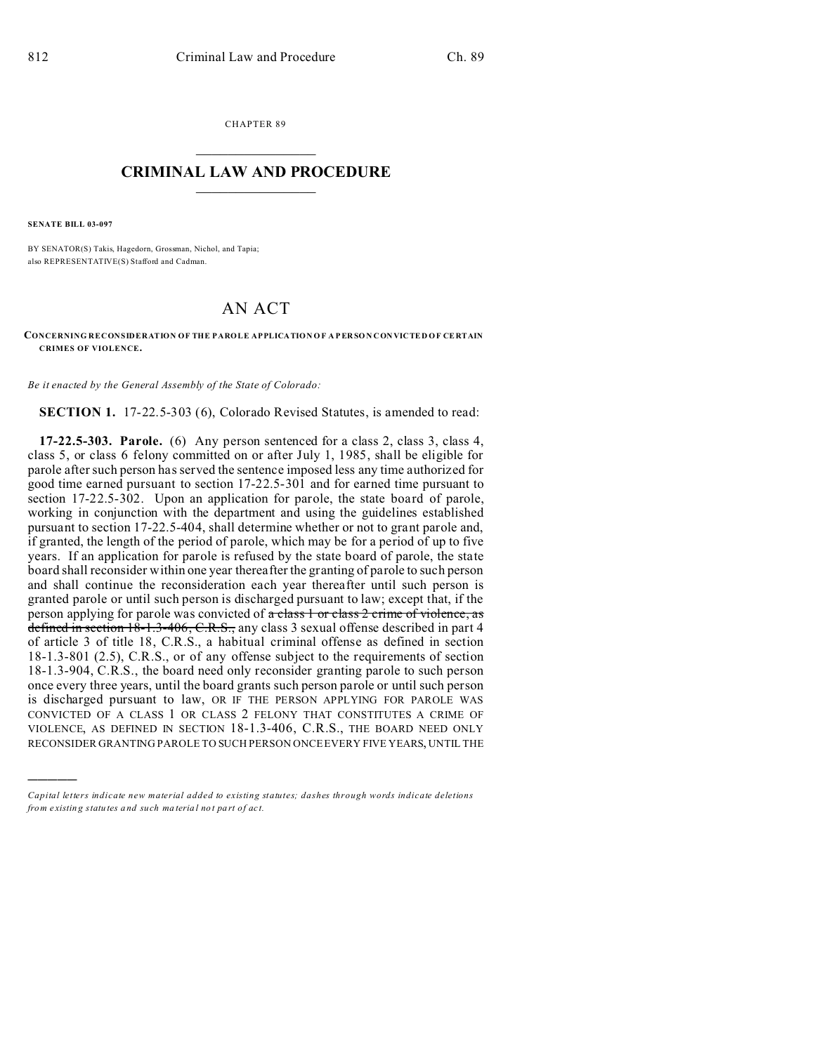CHAPTER 89  $\overline{\phantom{a}}$  , where  $\overline{\phantom{a}}$ 

## **CRIMINAL LAW AND PROCEDURE**  $\_$   $\_$   $\_$   $\_$   $\_$   $\_$   $\_$   $\_$   $\_$   $\_$

**SENATE BILL 03-097**

)))))

BY SENATOR(S) Takis, Hagedorn, Grossman, Nichol, and Tapia; also REPRESENTATIVE(S) Stafford and Cadman.

## AN ACT

**CONCERNING RECONSIDERATION OF THE PAROLE APPLICATION O F A P ER SO N CON VICTED O F CE RTAIN CRIMES OF VIOLENCE.**

*Be it enacted by the General Assembly of the State of Colorado:*

**SECTION 1.** 17-22.5-303 (6), Colorado Revised Statutes, is amended to read:

**17-22.5-303. Parole.** (6) Any person sentenced for a class 2, class 3, class 4, class 5, or class 6 felony committed on or after July 1, 1985, shall be eligible for parole after such person has served the sentence imposed less any time authorized for good time earned pursuant to section 17-22.5-301 and for earned time pursuant to section 17-22.5-302. Upon an application for parole, the state board of parole, working in conjunction with the department and using the guidelines established pursuant to section 17-22.5-404, shall determine whether or not to grant parole and, if granted, the length of the period of parole, which may be for a period of up to five years. If an application for parole is refused by the state board of parole, the state board shall reconsider within one year thereafter the granting of parole to such person and shall continue the reconsideration each year thereafter until such person is granted parole or until such person is discharged pursuant to law; except that, if the person applying for parole was convicted of  $\alpha$  class 1 or class 2 crime of violence, as defined in section 18-1.3-406, C.R.S., any class 3 sexual offense described in part 4 of article 3 of title 18, C.R.S., a habitual criminal offense as defined in section 18-1.3-801 (2.5), C.R.S., or of any offense subject to the requirements of section 18-1.3-904, C.R.S., the board need only reconsider granting parole to such person once every three years, until the board grants such person parole or until such person is discharged pursuant to law, OR IF THE PERSON APPLYING FOR PAROLE WAS CONVICTED OF A CLASS 1 OR CLASS 2 FELONY THAT CONSTITUTES A CRIME OF VIOLENCE, AS DEFINED IN SECTION 18-1.3-406, C.R.S., THE BOARD NEED ONLY RECONSIDER GRANTING PAROLE TO SUCH PERSON ONCE EVERY FIVE YEARS, UNTIL THE

*Capital letters indicate new material added to existing statutes; dashes through words indicate deletions from e xistin g statu tes a nd such ma teria l no t pa rt of ac t.*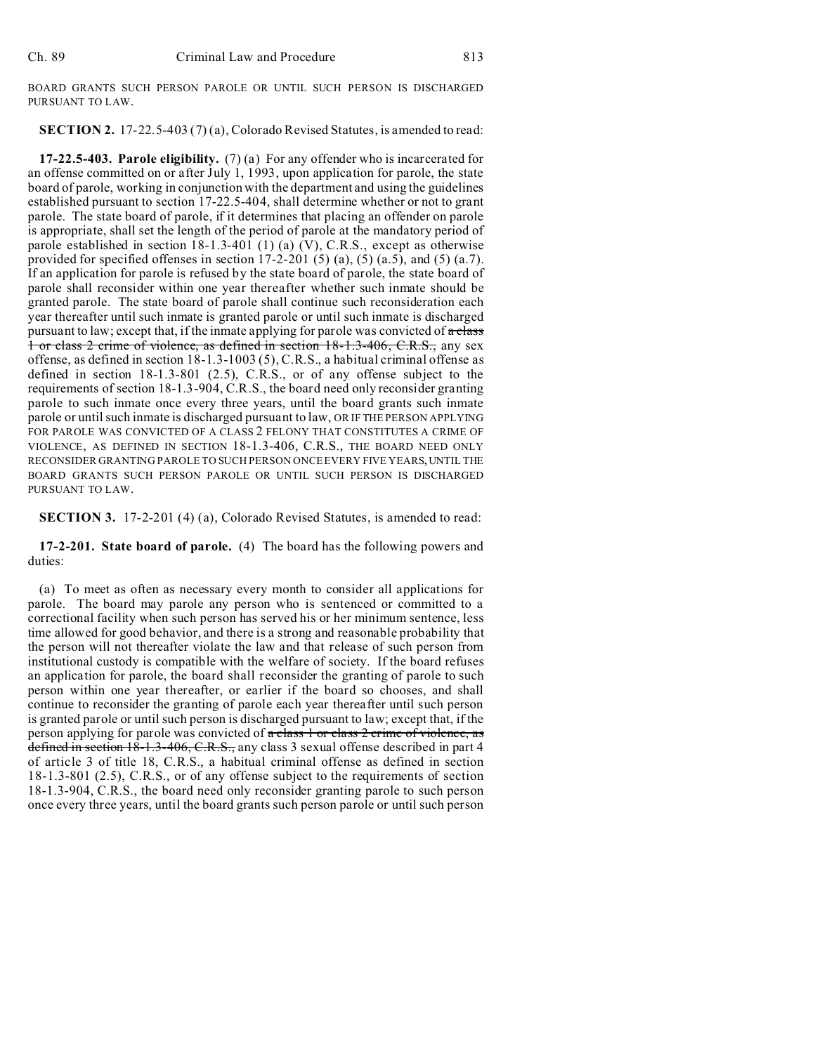BOARD GRANTS SUCH PERSON PAROLE OR UNTIL SUCH PERSON IS DISCHARGED PURSUANT TO LAW.

**SECTION 2.** 17-22.5-403 (7) (a), Colorado Revised Statutes, is amended to read:

**17-22.5-403. Parole eligibility.** (7) (a) For any offender who is incarcerated for an offense committed on or after July 1, 1993, upon application for parole, the state board of parole, working in conjunction with the department and using the guidelines established pursuant to section 17-22.5-404, shall determine whether or not to grant parole. The state board of parole, if it determines that placing an offender on parole is appropriate, shall set the length of the period of parole at the mandatory period of parole established in section 18-1.3-401 (1) (a) (V), C.R.S., except as otherwise provided for specified offenses in section  $17-2-201$  (5) (a), (5) (a.5), and (5) (a.7). If an application for parole is refused by the state board of parole, the state board of parole shall reconsider within one year thereafter whether such inmate should be granted parole. The state board of parole shall continue such reconsideration each year thereafter until such inmate is granted parole or until such inmate is discharged pursuant to law; except that, if the inmate applying for parole was convicted of  $\alpha$  class 1 or class 2 crime of violence, as defined in section 18-1.3-406, C.R.S., any sex offense, as defined in section 18-1.3-1003 (5), C.R.S., a habitual criminal offense as defined in section 18-1.3-801 (2.5), C.R.S., or of any offense subject to the requirements of section 18-1.3-904, C.R.S., the board need only reconsider granting parole to such inmate once every three years, until the board grants such inmate parole or until such inmate is discharged pursuant to law, OR IF THE PERSON APPLYING FOR PAROLE WAS CONVICTED OF A CLASS 2 FELONY THAT CONSTITUTES A CRIME OF VIOLENCE, AS DEFINED IN SECTION 18-1.3-406, C.R.S., THE BOARD NEED ONLY RECONSIDER GRANTING PAROLE TO SUCH PERSON ONCE EVERY FIVE YEARS,UNTIL THE BOARD GRANTS SUCH PERSON PAROLE OR UNTIL SUCH PERSON IS DISCHARGED PURSUANT TO LAW.

**SECTION 3.** 17-2-201 (4) (a), Colorado Revised Statutes, is amended to read:

**17-2-201. State board of parole.** (4) The board has the following powers and duties:

(a) To meet as often as necessary every month to consider all applications for parole. The board may parole any person who is sentenced or committed to a correctional facility when such person has served his or her minimum sentence, less time allowed for good behavior, and there is a strong and reasonable probability that the person will not thereafter violate the law and that release of such person from institutional custody is compatible with the welfare of society. If the board refuses an application for parole, the board shall reconsider the granting of parole to such person within one year thereafter, or earlier if the board so chooses, and shall continue to reconsider the granting of parole each year thereafter until such person is granted parole or until such person is discharged pursuant to law; except that, if the person applying for parole was convicted of a class 1 or class 2 crime of violence, as defined in section 18-1.3-406, C.R.S., any class 3 sexual offense described in part 4 of article 3 of title 18, C.R.S., a habitual criminal offense as defined in section 18-1.3-801 (2.5), C.R.S., or of any offense subject to the requirements of section 18-1.3-904, C.R.S., the board need only reconsider granting parole to such person once every three years, until the board grants such person parole or until such person